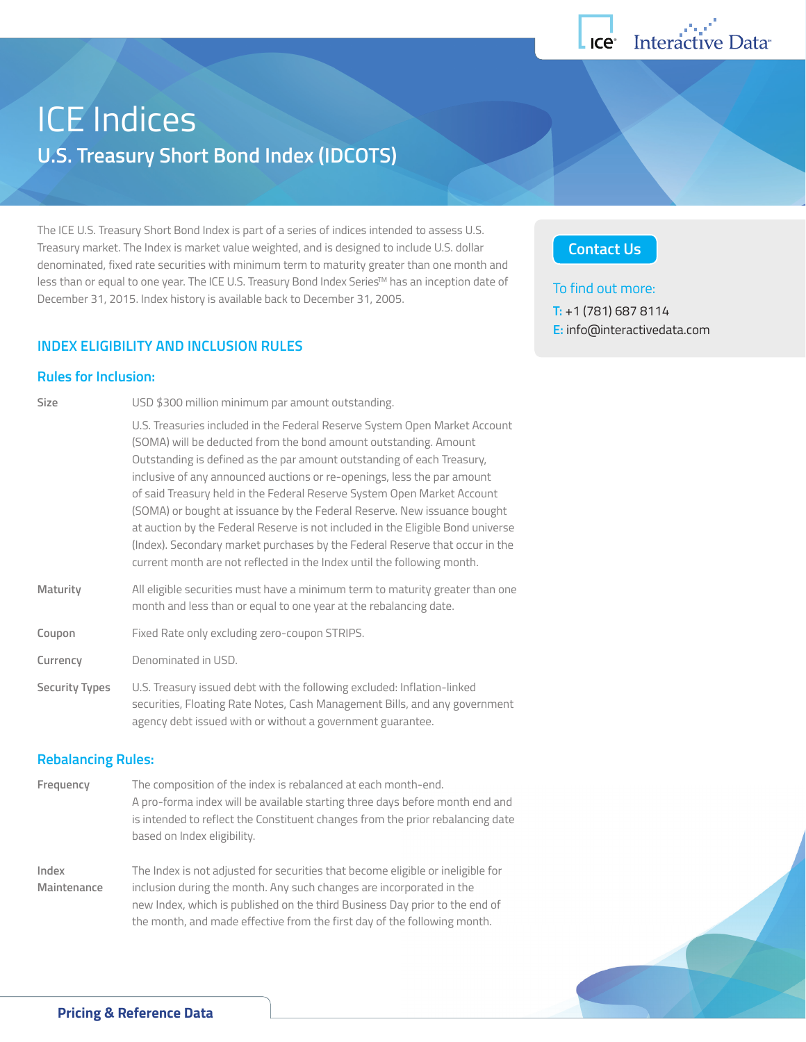

# ICE Indices **U.S. Treasury Short Bond Index (IDCOTS)**

The ICE U.S. Treasury Short Bond Index is part of a series of indices intended to assess U.S. Treasury market. The Index is market value weighted, and is designed to include U.S. dollar denominated, fixed rate securities with minimum term to maturity greater than one month and less than or equal to one year. The ICE U.S. Treasury Bond Index Series™ has an inception date of December 31, 2015. Index history is available back to December 31, 2005.

## **INDEX ELIGIBILITY AND INCLUSION RULES**

## **Rules for Inclusion:**

| Size                  | USD \$300 million minimum par amount outstanding.                                                                                                                                                                                                                                                                                                                                                                                                                                                                                                                                                                                                                                                        |
|-----------------------|----------------------------------------------------------------------------------------------------------------------------------------------------------------------------------------------------------------------------------------------------------------------------------------------------------------------------------------------------------------------------------------------------------------------------------------------------------------------------------------------------------------------------------------------------------------------------------------------------------------------------------------------------------------------------------------------------------|
|                       | U.S. Treasuries included in the Federal Reserve System Open Market Account<br>(SOMA) will be deducted from the bond amount outstanding. Amount<br>Outstanding is defined as the par amount outstanding of each Treasury,<br>inclusive of any announced auctions or re-openings, less the par amount<br>of said Treasury held in the Federal Reserve System Open Market Account<br>(SOMA) or bought at issuance by the Federal Reserve. New issuance bought<br>at auction by the Federal Reserve is not included in the Eligible Bond universe<br>(Index). Secondary market purchases by the Federal Reserve that occur in the<br>current month are not reflected in the Index until the following month. |
| Maturity              | All eligible securities must have a minimum term to maturity greater than one<br>month and less than or equal to one year at the rebalancing date.                                                                                                                                                                                                                                                                                                                                                                                                                                                                                                                                                       |
| Coupon                | Fixed Rate only excluding zero-coupon STRIPS.                                                                                                                                                                                                                                                                                                                                                                                                                                                                                                                                                                                                                                                            |
| Currency              | Denominated in USD.                                                                                                                                                                                                                                                                                                                                                                                                                                                                                                                                                                                                                                                                                      |
| <b>Security Types</b> | U.S. Treasury issued debt with the following excluded: Inflation-linked<br>securities, Floating Rate Notes, Cash Management Bills, and any government<br>agency debt issued with or without a government guarantee.                                                                                                                                                                                                                                                                                                                                                                                                                                                                                      |

## **Rebalancing Rules:**

**Frequency** The composition of the index is rebalanced at each month-end. A pro-forma index will be available starting three days before month end and is intended to reflect the Constituent changes from the prior rebalancing date based on Index eligibility.

**Index** The Index is not adjusted for securities that become eligible or ineligible for **Maintenance** inclusion during the month. Any such changes are incorporated in the new Index, which is published on the third Business Day prior to the end of the month, and made effective from the first day of the following month.

## **[Contact Us](http://go.interactivedata.com/Info-request-indices.html)**

### To find out more:

**T:** +1 (781) 687 8114 **E:** [info@interactivedata.com](mailto:info@interactivedata.com)